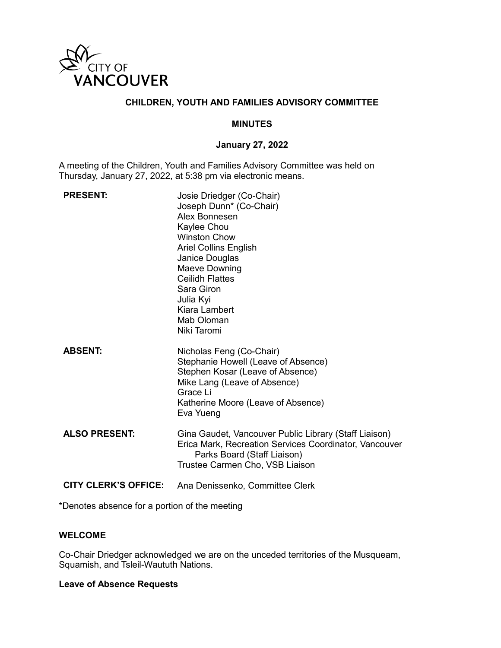

# **CHILDREN, YOUTH AND FAMILIES ADVISORY COMMITTEE**

## **MINUTES**

## **January 27, 2022**

A meeting of the Children, Youth and Families Advisory Committee was held on Thursday, January 27, 2022, at 5:38 pm via electronic means.

| <b>PRESENT:</b>             | Josie Driedger (Co-Chair)<br>Joseph Dunn* (Co-Chair)<br>Alex Bonnesen<br>Kaylee Chou<br><b>Winston Chow</b><br><b>Ariel Collins English</b><br>Janice Douglas<br>Maeve Downing<br><b>Ceilidh Flattes</b><br>Sara Giron<br>Julia Kyi<br>Kiara Lambert<br>Mab Oloman<br>Niki Taromi |
|-----------------------------|-----------------------------------------------------------------------------------------------------------------------------------------------------------------------------------------------------------------------------------------------------------------------------------|
| <b>ABSENT:</b>              | Nicholas Feng (Co-Chair)<br>Stephanie Howell (Leave of Absence)<br>Stephen Kosar (Leave of Absence)<br>Mike Lang (Leave of Absence)<br>Grace Li<br>Katherine Moore (Leave of Absence)<br>Eva Yueng                                                                                |
| <b>ALSO PRESENT:</b>        | Gina Gaudet, Vancouver Public Library (Staff Liaison)<br>Erica Mark, Recreation Services Coordinator, Vancouver<br>Parks Board (Staff Liaison)<br>Trustee Carmen Cho, VSB Liaison                                                                                                 |
| <b>CITY CLERK'S OFFICE:</b> | Ana Denissenko, Committee Clerk                                                                                                                                                                                                                                                   |

\*Denotes absence for a portion of the meeting

## **WELCOME**

Co-Chair Driedger acknowledged we are on the unceded territories of the Musqueam, Squamish, and Tsleil-Waututh Nations.

#### **Leave of Absence Requests**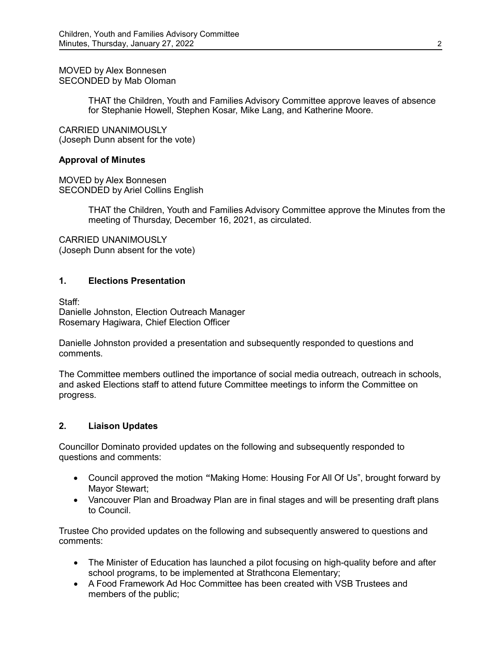MOVED by Alex Bonnesen SECONDED by Mab Oloman

> THAT the Children, Youth and Families Advisory Committee approve leaves of absence for Stephanie Howell, Stephen Kosar, Mike Lang, and Katherine Moore.

CARRIED UNANIMOUSLY (Joseph Dunn absent for the vote)

#### **Approval of Minutes**

MOVED by Alex Bonnesen SECONDED by Ariel Collins English

> THAT the Children, Youth and Families Advisory Committee approve the Minutes from the meeting of Thursday, December 16, 2021, as circulated.

CARRIED UNANIMOUSLY (Joseph Dunn absent for the vote)

## **1. Elections Presentation**

Staff: Danielle Johnston, Election Outreach Manager Rosemary Hagiwara, Chief Election Officer

Danielle Johnston provided a presentation and subsequently responded to questions and comments.

The Committee members outlined the importance of social media outreach, outreach in schools, and asked Elections staff to attend future Committee meetings to inform the Committee on progress.

#### **2. Liaison Updates**

Councillor Dominato provided updates on the following and subsequently responded to questions and comments:

- Council approved the motion "Making Home: Housing For All Of Us", brought forward by Mayor Stewart;
- Vancouver Plan and Broadway Plan are in final stages and will be presenting draft plans to Council.

Trustee Cho provided updates on the following and subsequently answered to questions and comments:

- The Minister of Education has launched a pilot focusing on high-quality before and after school programs, to be implemented at Strathcona Elementary;
- A Food Framework Ad Hoc Committee has been created with VSB Trustees and members of the public;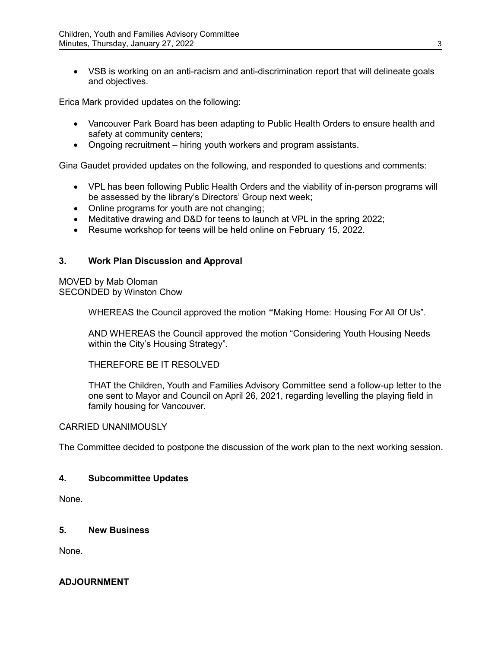• VSB is working on an anti-racism and anti-discrimination report that will delineate goals and objectives.

Erica Mark provided updates on the following:

- Vancouver Park Board has been adapting to Public Health Orders to ensure health and safety at community centers;
- Ongoing recruitment hiring youth workers and program assistants.

Gina Gaudet provided updates on the following, and responded to questions and comments:

- VPL has been following Public Health Orders and the viability of in-person programs will be assessed by the library's Directors' Group next week;
- Online programs for youth are not changing;
- Meditative drawing and D&D for teens to launch at VPL in the spring 2022;
- Resume workshop for teens will be held online on February 15, 2022.

# **3. Work Plan Discussion and Approval**

MOVED by Mab Oloman SECONDED by Winston Chow

WHEREAS the Council approved the motion "Making Home: Housing For All Of Us".

AND WHEREAS the Council approved the motion "Considering Youth Housing Needs within the City's Housing Strategy".

THEREFORE BE IT RESOLVED

THAT the Children, Youth and Families Advisory Committee send a follow-up letter to the one sent to Mayor and Council on April 26, 2021, regarding levelling the playing field in family housing for Vancouver.

#### CARRIED UNANIMOUSLY

The Committee decided to postpone the discussion of the work plan to the next working session.

#### **4. Subcommittee Updates**

None.

# **5. New Business**

None.

# **ADJOURNMENT**